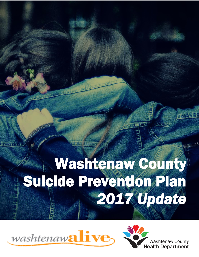### 小学家  $\frac{1}{2}$ I l Suicide Prevention Plan 一定 Washtenaw County *2017 Update*

l

**4 名下** 

医红细胞

r<br>S



的病症



14 特許日常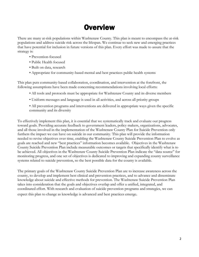## **Overview**

There are many at-risk populations within Washtenaw County. This plan is meant to encompass the at-risk populations and address suicide risk across the lifespan. We continue to seek new and emerging practices that have potential for inclusion in future versions of this plan. Every effort was made to assure that the strategy is:

- Prevention-focused
- Public Health focused
- Built on data, research
- Appropriate for community-based mental and best practices public health systems

This plan puts community-based collaboration, coordination, and intervention at the forefront, the following assumptions have been made concerning recommendations involving local efforts:

- All tools and protocols must be appropriate for Washtenaw County and its diverse members
- Uniform messages and language is used in all activities, and across all priority groups
- All prevention programs and interventions are delivered in appropriate ways given the specific community and its diversity

To effectively implement this plan, it is essential that we systematically track and evaluate our progress toward goals. Providing accurate feedback to government leaders, policy makers, organizations, advocates, and all those involved in the implementation of the Washtenaw County Plan for Suicide Prevention only furthers the impact we can have on suicide in our community. This plan will provide the information needed to revise objectives over time, enabling the Washtenaw County Suicide Prevention Plan to evolve as goals are reached and new "best practices" information becomes available. Objectives in the Washtenaw County Suicide Prevention Plan include measurable outcomes or targets that specifically identify what is to be achieved. All objectives in the Washtenaw County Suicide Prevention Plan indicate the "data source" for monitoring progress, and one set of objectives is dedicated to improving and expanding county surveillance systems related to suicide prevention, so the best possible data for the county is available.

The primary goals of the Washtenaw County Suicide Prevention Plan are to increase awareness across the county, to develop and implement best clinical and prevention practices, and to advance and disseminate knowledge about suicide and effective methods for prevention. The Washtenaw Suicide Prevention Plan takes into consideration that the goals and objectives overlap and offer a unified, integrated, and coordinated effort. With research and evaluation of suicide prevention programs and strategies, we can expect this plan to change as knowledge is advanced and best practices emerge.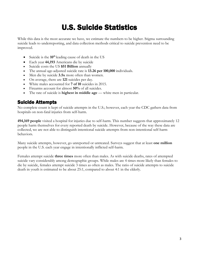## U.S. Suicide Statistics

While this data is the most accurate we have, we estimate the numbers to be higher. Stigma surrounding suicide leads to underreporting, and data collection methods critical to suicide prevention need to be improved.

- Suicide is the **10th** leading cause of death in the US
- Each year **44,193** Americans die by suicide
- Suicide costs the US **\$51 Billion** annually
- The annual age-adjusted suicide rate is **13.26 per 100,000** individuals.
- Men die by suicide **3.5x** more often than women.
- On average, there are **121** suicides per day.
- White males accounted for **7 of 10** suicides in 2015.
- Firearms account for almost **50%** of all suicides.
- The rate of suicide is **highest in middle age** white men in particular.

### Suicide Attempts

No complete count is kept of suicide attempts in the U.S.; however, each year the CDC gathers data from hospitals on non-fatal injuries from self-harm.

**494,169 people** visited a hospital for injuries due to self-harm. This number suggests that approximately 12 people harm themselves for every reported death by suicide. However, because of the way these data are collected, we are not able to distinguish intentional suicide attempts from non-intentional self-harm behaviors.

Many suicide attempts, however, go unreported or untreated. Surveys suggest that at least **one million** people in the U.S. each year engage in intentionally inflicted self-harm.

Females attempt suicide **three times** more often than males. As with suicide deaths, rates of attempted suicide vary considerably among demographic groups. While males are 4 times more likely than females to die by suicide, females attempt suicide 3 times as often as males. The ratio of suicide attempts to suicide death in youth is estimated to be about 25:1, compared to about 4:1 in the elderly.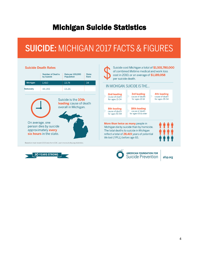## Michigan Suicide Statistics

# **SUICIDE: MICHIGAN 2017 FACTS & FIGURES**

| Michigan<br><b>Nationally</b>                                                                                                                                                                      | <b>Number of Deaths</b><br>by Suicide<br>1.410<br>44.193 | Rate per 100,000<br>Population<br>13.74<br>13.26<br>Suicide is the <b>10th</b><br>leading cause of death | <b>State</b><br>Rank<br>34 |
|----------------------------------------------------------------------------------------------------------------------------------------------------------------------------------------------------|----------------------------------------------------------|----------------------------------------------------------------------------------------------------------|----------------------------|
|                                                                                                                                                                                                    |                                                          |                                                                                                          |                            |
|                                                                                                                                                                                                    |                                                          |                                                                                                          |                            |
|                                                                                                                                                                                                    |                                                          |                                                                                                          |                            |
| overall in Michigan.<br>On average, one<br>person dies by suicide<br>approximately every<br>six hours in the state.<br>Based on most recent 2015 data from CDC. Learn more at afsp.org/statistics. |                                                          |                                                                                                          |                            |





AMERICAN FOUNDATION FOR<br>Suicide Prevention

afsp.org

4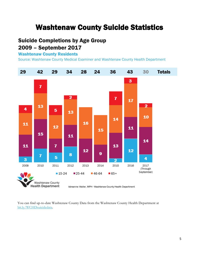## Washtenaw County Suicide Statistics

## Suicide Completions by Age Group 2009 – September 2017

### Washtenaw County Residents

Source: Washtenaw County Medical Examiner and Washtenaw County Health Department



You can find up-to-date Washtenaw County Data from the Washtenaw County Health Department at [bit.ly/WCHDsuicidedata.](http://bit.ly/WCHDsuicidedata)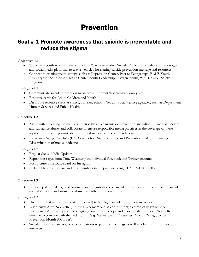## Prevention

### Goal # 1 Promote awareness that suicide is preventable and reduce the stigma

#### **Objective 1.1**

- Work with youth representatives to advise Washtenaw Alive Suicide Prevention Coalition on messages and social media platforms to use as vehicles for sharing suicide prevention message and resources.
- Connect to existing youth groups such as: Depression Center/Peer to Peer groups, RAHS Youth Advisory Council, Corner Health Center Youth Leadership, Oxygen Youth, WACC Cyber Safety Program

#### **Strategies 1.1**

- Communicate suicide prevention messages at different Washtenaw County sites
- Resource cards for Adult, Children and Youth
- Distribute resource cards at clinics, libraries, schools (set up), social service agencies, such as Department Human Services and Public Health

#### **Objective 1.2**

- Assist with educating the media on their critical role in suicide prevention, including mental illnesses and substance abuse, and collaborate to ensure responsible media practices in the coverage of these topics. See (reportingonsuicide.org) for a download of recommendations.
- *Recommendations for the Media* (U.S. Centers for Disease Control and Prevention) will be encouraged. Dissemination of media guidelines

#### **Strategies 1.2**

- Regular Social Media Updates
- Repost messages from Tony Weatherly on individual Facebook and Twitter accounts
- Post picture of resource card on Instagram
- Include National Hotline and local numbers in the post including TEXT 741741 Hello

#### **Objective 1.3**

 Educate policy makers, professionals, and organizations on suicide prevention and the impact of suicide, mental illnesses, and substance abuse has within our community.

#### **Strategies 1.3**

- Use email blast software (Constant Contact) to highlight suicide prevention messages
- Washtenaw Alive Newsletter, utilizing WA members as contributors; electronically available on Washtenaw Alive web page encouraging community to copy and disseminate to others. Newsletter timeline to coincide with themed months (e.g. Mental Health Awareness Month (May), Suicide Prevention Month (October).
- Suicide prevention messages at presentations to pediatric meetings as well as adult health primary care, internists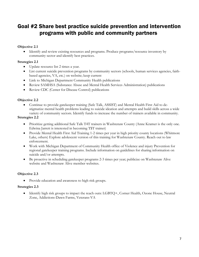## Goal #2 Share best practice suicide prevention and intervention programs with public and community partners

#### **Objective 2.1**

 Identify and review existing resources and programs. Produce programs/resource inventory by community sector and identify best practices.

#### **Strategies 2.1**

- Update resource list 2 times a year.
- List current suicide prevention programs by community sectors (schools, human services agencies, faithbased agencies, VA, etc.) on website; keep current
- Link to Michigan Department Community Health publications
- Review SAMHSA (Substance Abuse and Mental Health Services Administration) publications
- Review CDC (Center for Disease Control) publications

#### **Objective 2.2**

 Continue to provide gatekeeper training (Safe Talk, ASSIST) and Mental Health First Aid to destigmatize mental health problems leading to suicide ideation and attempts and build skills across a wide variety of community sectors. Identify funds to increase the number of trainers available in community.

#### **Strategies 2.2**

- Prioritize getting additional Safe Talk T4T trainers in Washtenaw County (Anne Kramer is the only one. Edwina Jarrett is interested in becoming T\$T trainer)
- Provide Mental Health First Aid Training 1-2 times per year in high priority county locations (Whitmore Lake, others) Explore adolescent version of this training for Washtenaw County. Reach out to law enforcement.
- Work with Michigan Department of Community Health office of Violence and injury Prevention for regional gatekeeper training programs. Include information on guidelines for sharing information on suicide and/or attempts.
- Be proactive in scheduling gatekeeper programs 2-3 times per year; publicize on Washtenaw Alive website and Washtenaw Alive member websites.

#### **Objective 2.3**

• Provide education and awareness to high risk groups.

#### **Strategies 2.3**

 Identify high risk groups to impact the reach outs: LGBTQ+, Corner Health, Ozone House, Neutral Zone, Addictions-Dawn Farms, Veterans-VA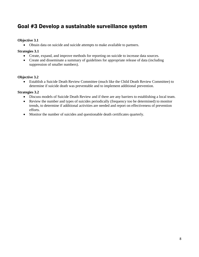## Goal #3 Develop a sustainable surveillance system

#### **Objective 3.1**

Obtain data on suicide and suicide attempts to make available to partners.

#### **Strategies 3.1**

- Create, expand, and improve methods for reporting on suicide to increase data sources.
- Create and disseminate a summary of guidelines for appropriate release of data (including suppression of smaller numbers).

#### **Objective 3.2**

 Establish a Suicide Death Review Committee (much like the Child Death Review Committee) to determine if suicide death was preventable and to implement additional prevention.

#### **Strategies 3.2**

- Discuss models of Suicide Death Review and if there are any barriers to establishing a local team.
- Review the number and types of suicides periodically (frequency too be determined) to monitor trends, to determine if additional activities are needed and report on effectiveness of prevention efforts.
- Monitor the number of suicides and questionable death certificates quarterly.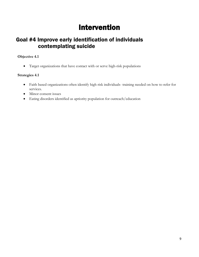## Intervention

## Goal #4 Improve early identification of individuals contemplating suicide

#### **Objective 4.1**

Target organizations that have contact with or serve high-risk populations

#### **Strategies 4.1**

- Faith based organizations often identify high risk individuals- training needed on how to refer for services.
- Minor consent issues
- Eating disorders identified as apriority population for outreach/education